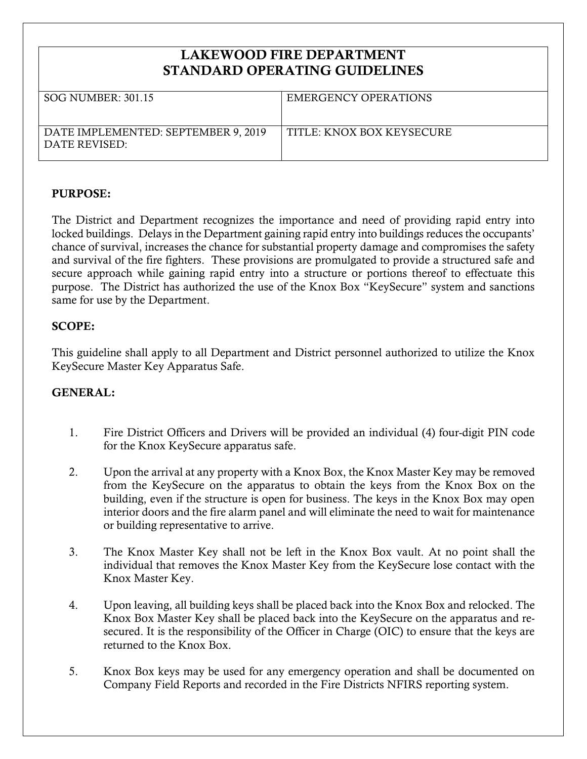## **LAKEWOOD FIRE DEPARTMENT STANDARD OPERATING GUIDELINES**

| $SOG$ NUMBER: 301.15                                 | EMERGENCY OPERATIONS      |
|------------------------------------------------------|---------------------------|
| DATE IMPLEMENTED: SEPTEMBER 9, 2019<br>DATE REVISED: | TITLE: KNOX BOX KEYSECURE |

## **PURPOSE:**

The District and Department recognizes the importance and need of providing rapid entry into locked buildings. Delays in the Department gaining rapid entry into buildings reduces the occupants' chance of survival, increases the chance for substantial property damage and compromises the safety and survival of the fire fighters. These provisions are promulgated to provide a structured safe and secure approach while gaining rapid entry into a structure or portions thereof to effectuate this purpose. The District has authorized the use of the Knox Box "KeySecure" system and sanctions same for use by the Department.

## **SCOPE:**

This guideline shall apply to all Department and District personnel authorized to utilize the Knox KeySecure Master Key Apparatus Safe.

## **GENERAL:**

- 1. Fire District Officers and Drivers will be provided an individual (4) four-digit PIN code for the Knox KeySecure apparatus safe.
- 2. Upon the arrival at any property with a Knox Box, the Knox Master Key may be removed from the KeySecure on the apparatus to obtain the keys from the Knox Box on the building, even if the structure is open for business. The keys in the Knox Box may open interior doors and the fire alarm panel and will eliminate the need to wait for maintenance or building representative to arrive.
- 3. The Knox Master Key shall not be left in the Knox Box vault. At no point shall the individual that removes the Knox Master Key from the KeySecure lose contact with the Knox Master Key.
- 4. Upon leaving, all building keys shall be placed back into the Knox Box and relocked. The Knox Box Master Key shall be placed back into the KeySecure on the apparatus and resecured. It is the responsibility of the Officer in Charge (OIC) to ensure that the keys are returned to the Knox Box.
- 5. Knox Box keys may be used for any emergency operation and shall be documented on Company Field Reports and recorded in the Fire Districts NFIRS reporting system.